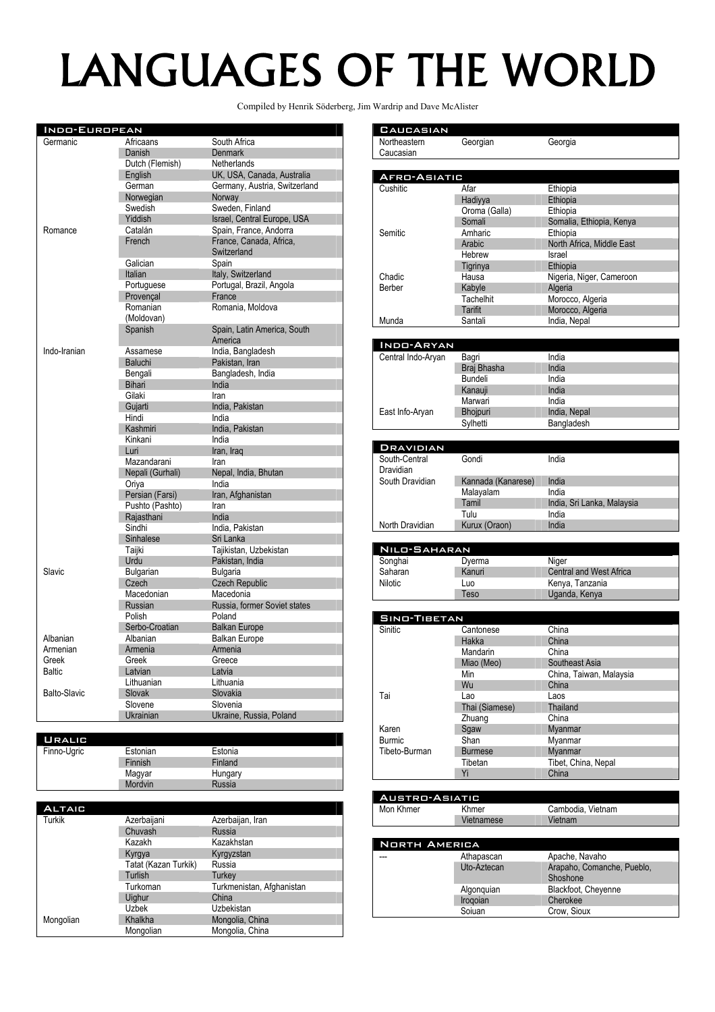## LANGUAGES OF THE WORLD

Compiled by Henrik Söderberg, Jim Wardrip and Dave McAlister

**CAUCASIAN** Northeastern

| <b>INDO-EUROPEAN</b> |                  |                               |  |
|----------------------|------------------|-------------------------------|--|
| Germanic             | Africaans        | South Africa                  |  |
|                      | Danish           | <b>Denmark</b>                |  |
|                      | Dutch (Flemish)  | Netherlands                   |  |
|                      | English          | UK, USA, Canada, Australia    |  |
|                      | German           | Germany, Austria, Switzerland |  |
|                      | Norwegian        | Norway                        |  |
|                      | Swedish          | Sweden, Finland               |  |
|                      | Yiddish          | Israel, Central Europe, USA   |  |
| Romance              | Catalán          | Spain, France, Andorra        |  |
|                      | French           | France, Canada, Africa,       |  |
|                      |                  | Switzerland                   |  |
|                      | Galician         | Spain                         |  |
|                      | Italian          | Italy, Switzerland            |  |
|                      | Portuguese       | Portugal, Brazil, Angola      |  |
|                      | Provencal        | France                        |  |
|                      | Romanian         | Romania, Moldova              |  |
|                      | (Moldovan)       |                               |  |
|                      | Spanish          | Spain, Latin America, South   |  |
|                      |                  | America                       |  |
| Indo-Iranian         | Assamese         | India, Bangladesh             |  |
|                      | Baluchi          | Pakistan, Iran                |  |
|                      | Bengali          | Bangladesh, India             |  |
|                      | <b>Bihari</b>    | India                         |  |
|                      | Gilaki           | Iran                          |  |
|                      | Gujarti          | India, Pakistan               |  |
|                      | Hindi            | India                         |  |
|                      | Kashmiri         | India, Pakistan               |  |
|                      | Kinkani          | India                         |  |
|                      | Luri             | Iran, Iraq                    |  |
|                      | Mazandarani      | Iran                          |  |
|                      | Nepali (Gurhali) | Nepal, India, Bhutan          |  |
|                      | Oriya            | India                         |  |
|                      | Persian (Farsi)  | Iran, Afghanistan             |  |
|                      | Pushto (Pashto)  | Iran                          |  |
|                      | Raiasthani       | India                         |  |
|                      | Sindhi           | India, Pakistan               |  |
|                      | Sinhalese        | Sri Lanka                     |  |
|                      | Taijki           | Tajikistan, Uzbekistan        |  |
|                      | Urdu             | Pakistan, India               |  |
| Slavic               | <b>Bulgarian</b> | <b>Bulgaria</b>               |  |
|                      | Czech            | <b>Czech Republic</b>         |  |
|                      | Macedonian       | Macedonia                     |  |
|                      | <b>Russian</b>   | Russia, former Soviet states  |  |
|                      | Polish           | Poland                        |  |
|                      | Serbo-Croatian   | <b>Balkan Europe</b>          |  |
| Albanian             | Albanian         | <b>Balkan Europe</b>          |  |
| Armenian             | Armenia          | Armenia                       |  |
| Greek                | Greek            | Greece                        |  |
| <b>Baltic</b>        | Latvian          | Latvia                        |  |
|                      | Lithuanian       | Lithuania                     |  |
| <b>Balto-Slavic</b>  | Slovak           |                               |  |
|                      | Slovene          | Slovakia<br>Slovenia          |  |
|                      |                  |                               |  |
|                      | Ukrainian        | Ukraine, Russia, Poland       |  |

| <b>URALIC</b> |          |         |
|---------------|----------|---------|
| Finno-Ugric   | Estonian | Estonia |
|               | Finnish  | Finland |
|               | Magyar   | Hungary |
|               | Mordvin  | Russia  |

|  | <b>ALTAIC</b> |                      |                           |
|--|---------------|----------------------|---------------------------|
|  | Turkik        | Azerbaijani          | Azerbaijan, Iran          |
|  |               | Chuvash              | Russia                    |
|  |               | Kazakh               | Kazakhstan                |
|  |               | Kyrgya               | Kyrgyzstan                |
|  |               | Tatat (Kazan Turkik) | Russia                    |
|  |               | Turlish              | Turkey                    |
|  |               | Turkoman             | Turkmenistan, Afghanistan |
|  |               | Uighur               | China                     |
|  |               | <b>Uzbek</b>         | Uzbekistan                |
|  | Mongolian     | Khalkha              | Mongolia, China           |
|  |               | Mongolian            | Mongolia, China           |

| AFRO-ASIATIC<br>Cushitic | Afar           | Ethiopia                  |
|--------------------------|----------------|---------------------------|
|                          |                |                           |
|                          | Hadiyya        | Ethiopia                  |
|                          | Oroma (Galla)  | Ethiopia                  |
|                          | Somali         | Somalia, Ethiopia, Kenya  |
| Semitic                  | Amharic        | Ethiopia                  |
|                          | Arabic         | North Africa, Middle East |
|                          | Hebrew         | Israel                    |
|                          | Tigrinya       | Ethiopia                  |
| Chadic                   | Hausa          | Nigeria, Niger, Cameroon  |
| Berber                   | Kabyle         | Algeria                   |
|                          | Tachelhit      | Morocco, Algeria          |
|                          | <b>Tarifit</b> | Morocco, Algeria          |
| Munda                    | Santali        | India, Nepal              |

Georgian Georgia

| INDO-ARYAN         |                 |              |
|--------------------|-----------------|--------------|
| Central Indo-Aryan | Bagri           | India        |
|                    | Braj Bhasha     | India        |
|                    | Bundeli         | India        |
|                    | Kanauji         | India        |
|                    | Marwari         | India        |
| East Info-Aryan    | <b>Bhojpuri</b> | India, Nepal |
|                    | Svlhetti        | Bangladesh   |

| <b>DRAVIDIAN</b> |                    |                            |
|------------------|--------------------|----------------------------|
| South-Central    | Gondi              | India                      |
| Dravidian        |                    |                            |
| South Dravidian  | Kannada (Kanarese) | India                      |
|                  | Malayalam          | India                      |
|                  | Tamil              | India, Sri Lanka, Malaysia |
|                  | Tulu               | India                      |
| North Dravidian  | Kurux (Oraon)      | India                      |
|                  |                    |                            |

| NILO-SAHARAN |        |                                |  |
|--------------|--------|--------------------------------|--|
| Songhai      | Dyerma | Niger                          |  |
| Saharan      | Kanuri | <b>Central and West Africa</b> |  |
| Nilotic      | Luo    | Kenya, Tanzania                |  |
|              | Teso   | Uganda, Kenya                  |  |

| <b>SINO-TIBETAN</b> |                |                         |  |
|---------------------|----------------|-------------------------|--|
| <b>Sinitic</b>      | Cantonese      | China                   |  |
|                     | Hakka          | China                   |  |
|                     | Mandarin       | China                   |  |
|                     | Miao (Meo)     | Southeast Asia          |  |
|                     | Min            | China, Taiwan, Malaysia |  |
|                     | Wu             | China                   |  |
| Tai                 | Lao            | Laos                    |  |
|                     | Thai (Siamese) | Thailand                |  |
|                     | Zhuang         | China                   |  |
| Karen               | Sqaw           | Myanmar                 |  |
| <b>Burmic</b>       | Shan           | Myanmar                 |  |
| Tibeto-Burman       | <b>Burmese</b> | Myanmar                 |  |
|                     | Tibetan        | Tibet, China, Nepal     |  |
|                     | Yi             | China                   |  |

| <b>AUSTRO-ASIATIC</b> |             |                            |  |
|-----------------------|-------------|----------------------------|--|
| Mon Khmer             | Khmer       | Cambodia, Vietnam          |  |
|                       | Vietnamese  | Vietnam                    |  |
|                       |             |                            |  |
| <b>NORTH AMERICA</b>  |             |                            |  |
|                       | Athapascan  | Apache, Navaho             |  |
|                       | Uto-Aztecan | Arapaho, Comanche, Pueblo, |  |
|                       |             | Shoshone                   |  |
|                       | Algonquian  | Blackfoot, Cheyenne        |  |
|                       | Irogoian    | Cherokee                   |  |
|                       | Soiuan      | Crow, Sioux                |  |